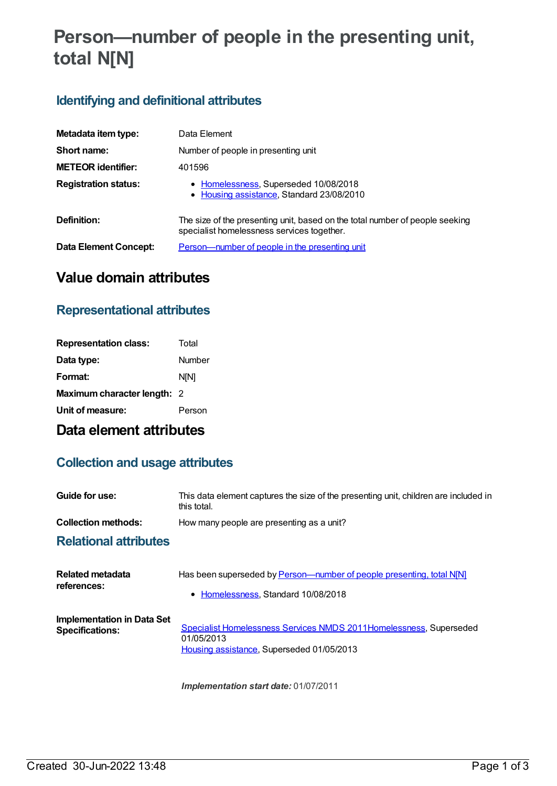# **Person—number of people in the presenting unit, total N[N]**

### **Identifying and definitional attributes**

| Metadata item type:          | Data Element                                                                                                               |
|------------------------------|----------------------------------------------------------------------------------------------------------------------------|
| Short name:                  | Number of people in presenting unit                                                                                        |
| <b>METEOR identifier:</b>    | 401596                                                                                                                     |
| <b>Registration status:</b>  | • Homelessness, Superseded 10/08/2018<br>• Housing assistance, Standard 23/08/2010                                         |
| Definition:                  | The size of the presenting unit, based on the total number of people seeking<br>specialist homelessness services together. |
| <b>Data Element Concept:</b> | <u>Person—number of people in the presenting unit</u>                                                                      |

## **Value domain attributes**

#### **Representational attributes**

| <b>Representation class:</b> | Total       |
|------------------------------|-------------|
| Data type:                   | Number      |
| Format:                      | <b>NIN1</b> |
| Maximum character length: 2  |             |
| Unit of measure:             | Person      |

### **Data element attributes**

#### **Collection and usage attributes**

| Guide for use:                                       | This data element captures the size of the presenting unit, children are included in<br>this total.                           |
|------------------------------------------------------|-------------------------------------------------------------------------------------------------------------------------------|
| <b>Collection methods:</b>                           | How many people are presenting as a unit?                                                                                     |
| <b>Relational attributes</b>                         |                                                                                                                               |
| Related metadata<br>references:                      | Has been superseded by Person-number of people presenting, total N[N]<br>• Homelessness, Standard 10/08/2018                  |
| Implementation in Data Set<br><b>Specifications:</b> | Specialist Homelessness Services NMDS 2011Homelessness, Superseded<br>01/05/2013<br>Housing assistance, Superseded 01/05/2013 |

*Implementation start date:* 01/07/2011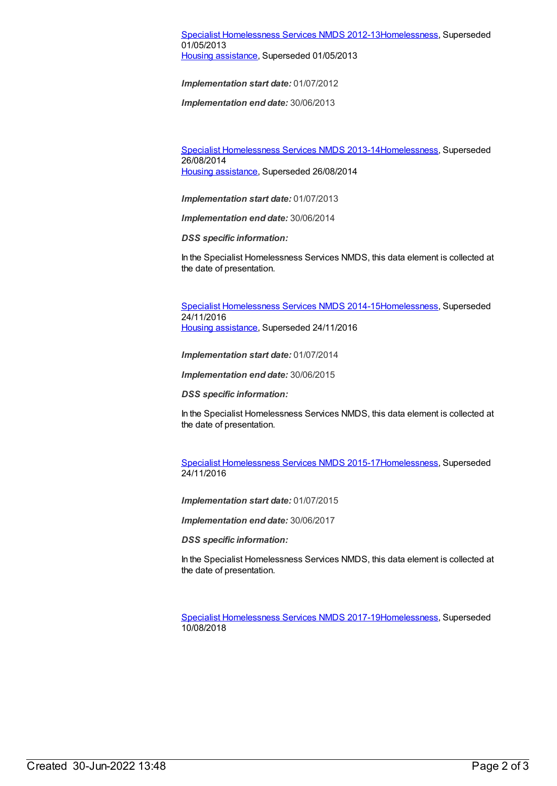#### Specialist [Homelessness](https://meteor.aihw.gov.au/content/508954) Services NMDS 2012-1[3Homelessness](https://meteor.aihw.gov.au/RegistrationAuthority/14), Superseded 01/05/2013 Housing [assistance](https://meteor.aihw.gov.au/RegistrationAuthority/11), Superseded 01/05/2013

*Implementation start date:* 01/07/2012

*Implementation end date:* 30/06/2013

Specialist [Homelessness](https://meteor.aihw.gov.au/content/505626) Services NMDS 2013-1[4Homelessness](https://meteor.aihw.gov.au/RegistrationAuthority/14), Superseded 26/08/2014 Housing [assistance](https://meteor.aihw.gov.au/RegistrationAuthority/11), Superseded 26/08/2014

*Implementation start date:* 01/07/2013

*Implementation end date:* 30/06/2014

*DSS specific information:*

In the Specialist Homelessness Services NMDS, this data element is collected at the date of presentation.

Specialist [Homelessness](https://meteor.aihw.gov.au/content/581255) Services NMDS 2014-1[5Homelessness](https://meteor.aihw.gov.au/RegistrationAuthority/14), Superseded 24/11/2016 Housing [assistance](https://meteor.aihw.gov.au/RegistrationAuthority/11), Superseded 24/11/2016

*Implementation start date:* 01/07/2014

*Implementation end date:* 30/06/2015

*DSS specific information:*

In the Specialist Homelessness Services NMDS, this data element is collected at the date of presentation.

Specialist [Homelessness](https://meteor.aihw.gov.au/content/658005) Services NMDS 2015-1[7Homelessness](https://meteor.aihw.gov.au/RegistrationAuthority/14), Superseded 24/11/2016

*Implementation start date:* 01/07/2015

*Implementation end date:* 30/06/2017

*DSS specific information:*

In the Specialist Homelessness Services NMDS, this data element is collected at the date of presentation.

Specialist [Homelessness](https://meteor.aihw.gov.au/content/650006) Services NMDS 2017-1[9Homelessness](https://meteor.aihw.gov.au/RegistrationAuthority/14), Superseded 10/08/2018